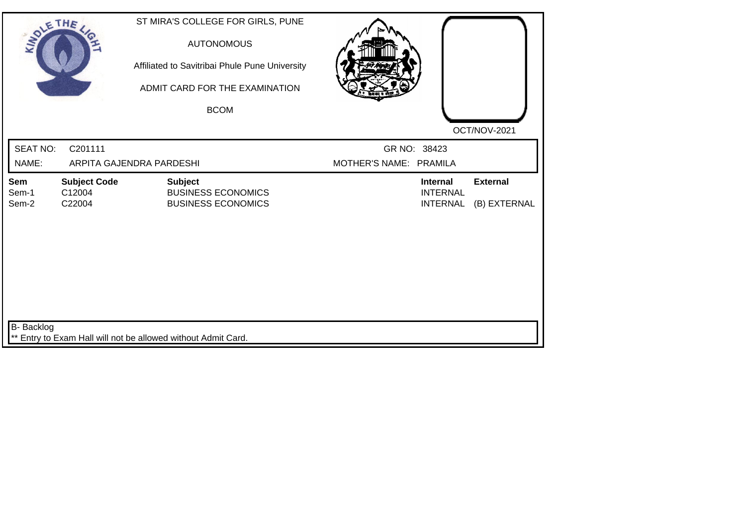| SOLE THE                 |                                         | ST MIRA'S COLLEGE FOR GIRLS, PUNE<br><b>AUTONOMOUS</b><br>Affiliated to Savitribai Phule Pune University<br>ADMIT CARD FOR THE EXAMINATION<br><b>BCOM</b> |                                        |                                                       |                                 |
|--------------------------|-----------------------------------------|-----------------------------------------------------------------------------------------------------------------------------------------------------------|----------------------------------------|-------------------------------------------------------|---------------------------------|
| <b>SEAT NO:</b><br>NAME: | C201111                                 | ARPITA GAJENDRA PARDESHI                                                                                                                                  | GR NO: 38423<br>MOTHER'S NAME: PRAMILA |                                                       | OCT/NOV-2021                    |
| Sem<br>Sem-1<br>Sem-2    | <b>Subject Code</b><br>C12004<br>C22004 | <b>Subject</b><br><b>BUSINESS ECONOMICS</b><br><b>BUSINESS ECONOMICS</b>                                                                                  |                                        | <b>Internal</b><br><b>INTERNAL</b><br><b>INTERNAL</b> | <b>External</b><br>(B) EXTERNAL |
| B- Backlog               |                                         | ** Entry to Exam Hall will not be allowed without Admit Card.                                                                                             |                                        |                                                       |                                 |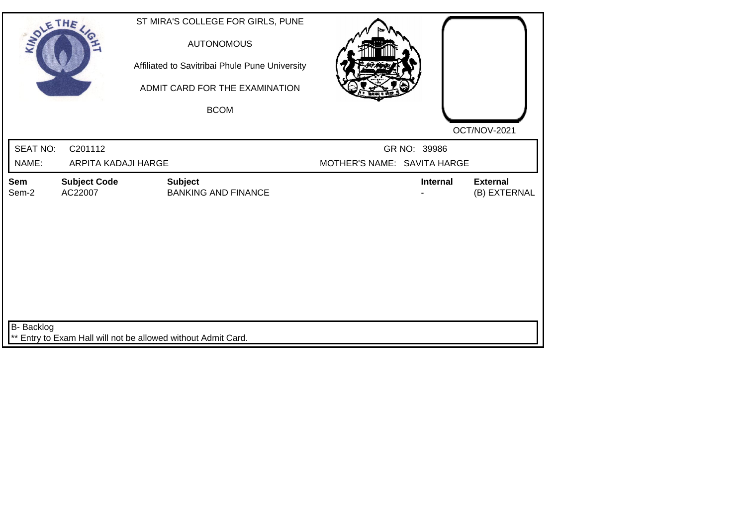| SOLE THE                 |                                | ST MIRA'S COLLEGE FOR GIRLS, PUNE<br><b>AUTONOMOUS</b><br>Affiliated to Savitribai Phule Pune University<br>ADMIT CARD FOR THE EXAMINATION<br><b>BCOM</b> |                             |                 | OCT/NOV-2021                    |
|--------------------------|--------------------------------|-----------------------------------------------------------------------------------------------------------------------------------------------------------|-----------------------------|-----------------|---------------------------------|
| <b>SEAT NO:</b><br>NAME: | C201112<br>ARPITA KADAJI HARGE |                                                                                                                                                           | MOTHER'S NAME: SAVITA HARGE | GR NO: 39986    |                                 |
| Sem<br>Sem-2             | <b>Subject Code</b><br>AC22007 | <b>Subject</b><br><b>BANKING AND FINANCE</b>                                                                                                              |                             | <b>Internal</b> | <b>External</b><br>(B) EXTERNAL |
| B- Backlog               |                                | ** Entry to Exam Hall will not be allowed without Admit Card.                                                                                             |                             |                 |                                 |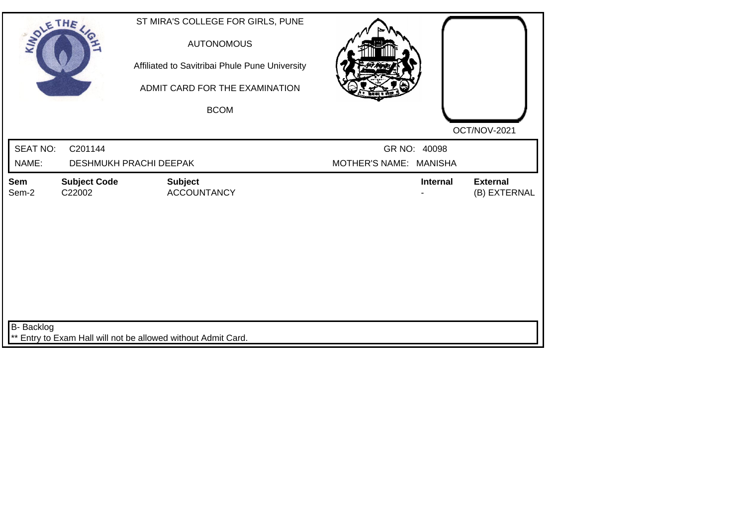| SOLETHE ,         |                               | ST MIRA'S COLLEGE FOR GIRLS, PUNE<br><b>AUTONOMOUS</b><br>Affiliated to Savitribai Phule Pune University<br>ADMIT CARD FOR THE EXAMINATION<br><b>BCOM</b> |                        |              |                                 |
|-------------------|-------------------------------|-----------------------------------------------------------------------------------------------------------------------------------------------------------|------------------------|--------------|---------------------------------|
| <b>SEAT NO:</b>   | C201144                       |                                                                                                                                                           |                        | GR NO: 40098 | OCT/NOV-2021                    |
| NAME:             |                               | <b>DESHMUKH PRACHI DEEPAK</b>                                                                                                                             | MOTHER'S NAME: MANISHA |              |                                 |
| Sem<br>Sem-2      | <b>Subject Code</b><br>C22002 | <b>Subject</b><br><b>ACCOUNTANCY</b>                                                                                                                      |                        | Internal     | <b>External</b><br>(B) EXTERNAL |
| <b>B-</b> Backlog |                               | ** Entry to Exam Hall will not be allowed without Admit Card.                                                                                             |                        |              |                                 |
|                   |                               |                                                                                                                                                           |                        |              |                                 |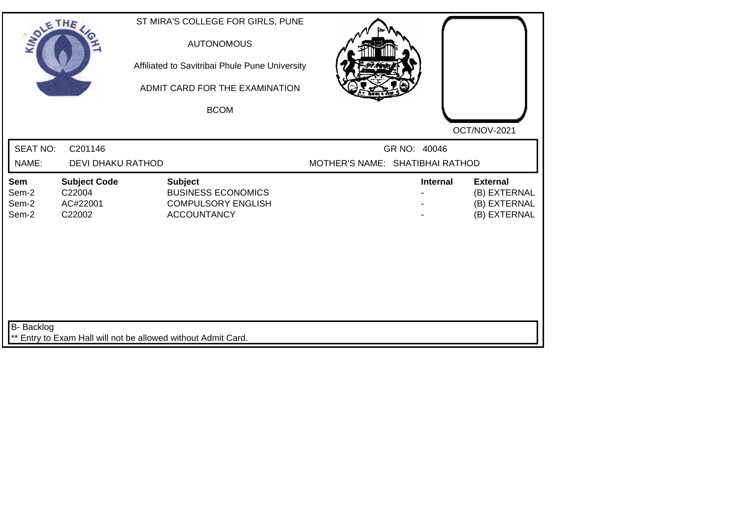| SOLETHE ,                      |                                                     | ST MIRA'S COLLEGE FOR GIRLS, PUNE<br><b>AUTONOMOUS</b><br>Affiliated to Savitribai Phule Pune University<br>ADMIT CARD FOR THE EXAMINATION<br><b>BCOM</b> |                                 |                 |                                                                 |
|--------------------------------|-----------------------------------------------------|-----------------------------------------------------------------------------------------------------------------------------------------------------------|---------------------------------|-----------------|-----------------------------------------------------------------|
| <b>SEAT NO:</b><br>NAME:       | C201146<br><b>DEVI DHAKU RATHOD</b>                 |                                                                                                                                                           | MOTHER'S NAME: SHATIBHAI RATHOD | GR NO: 40046    | OCT/NOV-2021                                                    |
| Sem<br>Sem-2<br>Sem-2<br>Sem-2 | <b>Subject Code</b><br>C22004<br>AC#22001<br>C22002 | <b>Subject</b><br><b>BUSINESS ECONOMICS</b><br><b>COMPULSORY ENGLISH</b><br><b>ACCOUNTANCY</b>                                                            |                                 | <b>Internal</b> | <b>External</b><br>(B) EXTERNAL<br>(B) EXTERNAL<br>(B) EXTERNAL |
| B- Backlog                     |                                                     | ** Entry to Exam Hall will not be allowed without Admit Card.                                                                                             |                                 |                 |                                                                 |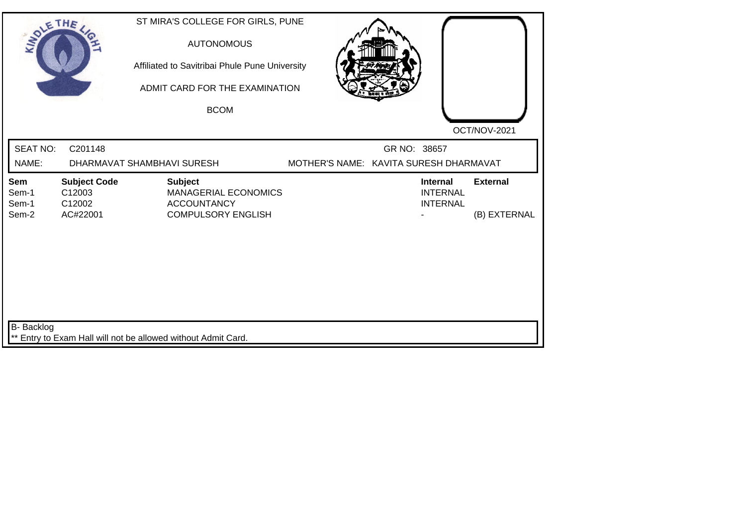| SOLETHE,                       |                                                     | ST MIRA'S COLLEGE FOR GIRLS, PUNE<br><b>AUTONOMOUS</b><br>Affiliated to Savitribai Phule Pune University<br>ADMIT CARD FOR THE EXAMINATION<br><b>BCOM</b> |  |              |                                                       |                                 |
|--------------------------------|-----------------------------------------------------|-----------------------------------------------------------------------------------------------------------------------------------------------------------|--|--------------|-------------------------------------------------------|---------------------------------|
| <b>SEAT NO:</b><br>NAME:       | C201148                                             | DHARMAVAT SHAMBHAVI SURESH                                                                                                                                |  | GR NO: 38657 | MOTHER'S NAME: KAVITA SURESH DHARMAVAT                | OCT/NOV-2021                    |
| Sem<br>Sem-1<br>Sem-1<br>Sem-2 | <b>Subject Code</b><br>C12003<br>C12002<br>AC#22001 | <b>Subject</b><br><b>MANAGERIAL ECONOMICS</b><br><b>ACCOUNTANCY</b><br><b>COMPULSORY ENGLISH</b>                                                          |  |              | <b>Internal</b><br><b>INTERNAL</b><br><b>INTERNAL</b> | <b>External</b><br>(B) EXTERNAL |
| B- Backlog                     |                                                     | ** Entry to Exam Hall will not be allowed without Admit Card.                                                                                             |  |              |                                                       |                                 |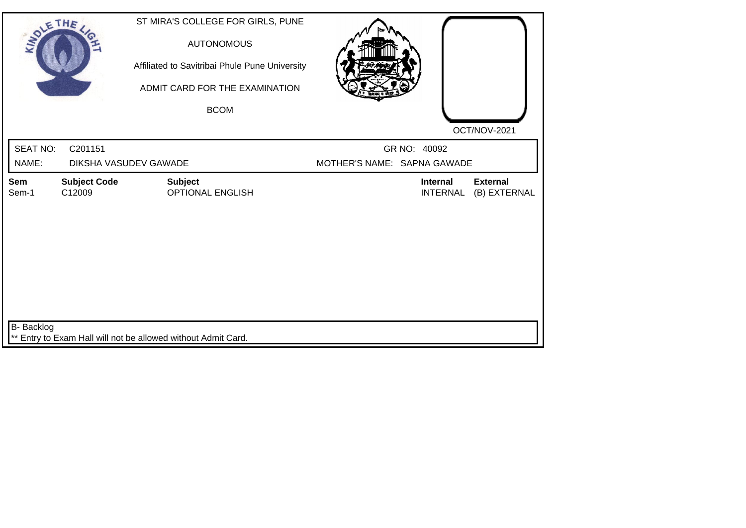| SOLE THE                 |                                  | ST MIRA'S COLLEGE FOR GIRLS, PUNE<br><b>AUTONOMOUS</b><br>Affiliated to Savitribai Phule Pune University<br>ADMIT CARD FOR THE EXAMINATION<br><b>BCOM</b> |                             | OCT/NOV-2021                                                          |
|--------------------------|----------------------------------|-----------------------------------------------------------------------------------------------------------------------------------------------------------|-----------------------------|-----------------------------------------------------------------------|
| <b>SEAT NO:</b><br>NAME: | C201151<br>DIKSHA VASUDEV GAWADE |                                                                                                                                                           | MOTHER'S NAME: SAPNA GAWADE | GR NO: 40092                                                          |
|                          |                                  |                                                                                                                                                           |                             |                                                                       |
| Sem<br>Sem-1             | <b>Subject Code</b><br>C12009    | <b>Subject</b><br><b>OPTIONAL ENGLISH</b>                                                                                                                 |                             | <b>Internal</b><br><b>External</b><br>(B) EXTERNAL<br><b>INTERNAL</b> |
| B- Backlog               |                                  | ** Entry to Exam Hall will not be allowed without Admit Card.                                                                                             |                             |                                                                       |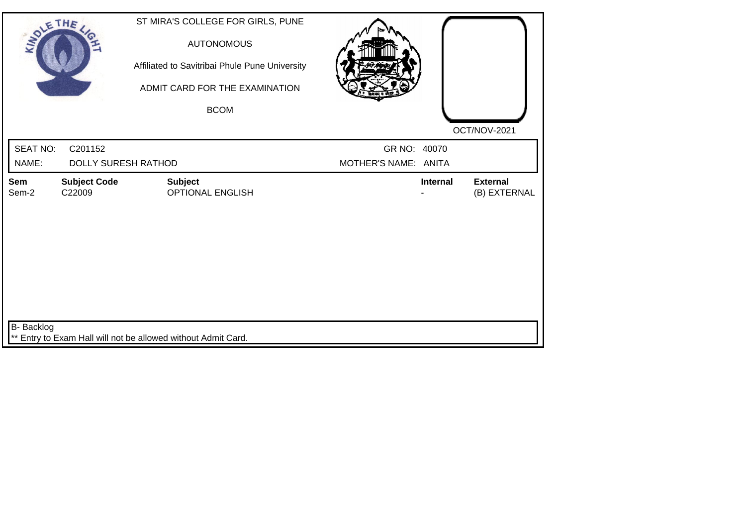| SOLE THE          |                               | ST MIRA'S COLLEGE FOR GIRLS, PUNE<br><b>AUTONOMOUS</b><br>Affiliated to Savitribai Phule Pune University<br>ADMIT CARD FOR THE EXAMINATION<br><b>BCOM</b> |                      |                 |                                 |
|-------------------|-------------------------------|-----------------------------------------------------------------------------------------------------------------------------------------------------------|----------------------|-----------------|---------------------------------|
| <b>SEAT NO:</b>   | C201152                       |                                                                                                                                                           | GR NO: 40070         |                 | OCT/NOV-2021                    |
| NAME:             | <b>DOLLY SURESH RATHOD</b>    |                                                                                                                                                           | MOTHER'S NAME: ANITA |                 |                                 |
| Sem<br>Sem-2      | <b>Subject Code</b><br>C22009 | <b>Subject</b><br><b>OPTIONAL ENGLISH</b>                                                                                                                 |                      | <b>Internal</b> | <b>External</b><br>(B) EXTERNAL |
| <b>B-</b> Backlog |                               | ** Entry to Exam Hall will not be allowed without Admit Card.                                                                                             |                      |                 |                                 |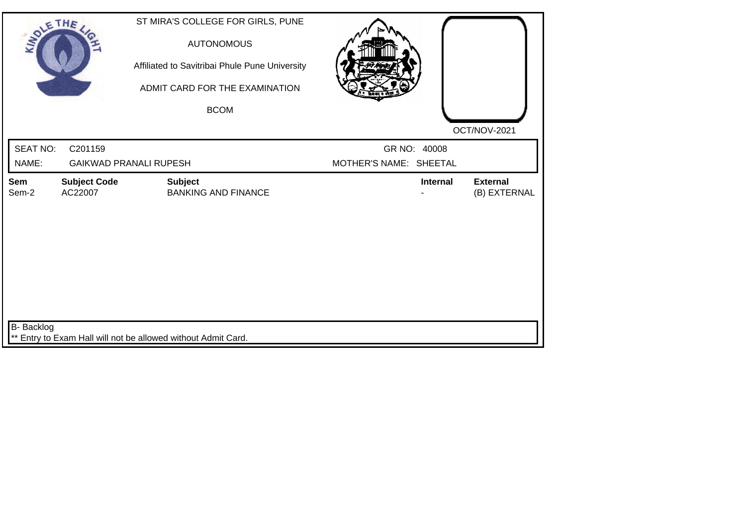| SOLE THE                 |                                | ST MIRA'S COLLEGE FOR GIRLS, PUNE<br><b>AUTONOMOUS</b><br>Affiliated to Savitribai Phule Pune University<br>ADMIT CARD FOR THE EXAMINATION<br><b>BCOM</b> |                                        | OCT/NOV-2021                    |
|--------------------------|--------------------------------|-----------------------------------------------------------------------------------------------------------------------------------------------------------|----------------------------------------|---------------------------------|
| <b>SEAT NO:</b><br>NAME: | C201159                        | <b>GAIKWAD PRANALI RUPESH</b>                                                                                                                             | GR NO: 40008<br>MOTHER'S NAME: SHEETAL |                                 |
| Sem<br>Sem-2             | <b>Subject Code</b><br>AC22007 | <b>Subject</b><br><b>BANKING AND FINANCE</b>                                                                                                              | <b>Internal</b>                        | <b>External</b><br>(B) EXTERNAL |
|                          |                                |                                                                                                                                                           |                                        |                                 |
| B- Backlog               |                                | ** Entry to Exam Hall will not be allowed without Admit Card.                                                                                             |                                        |                                 |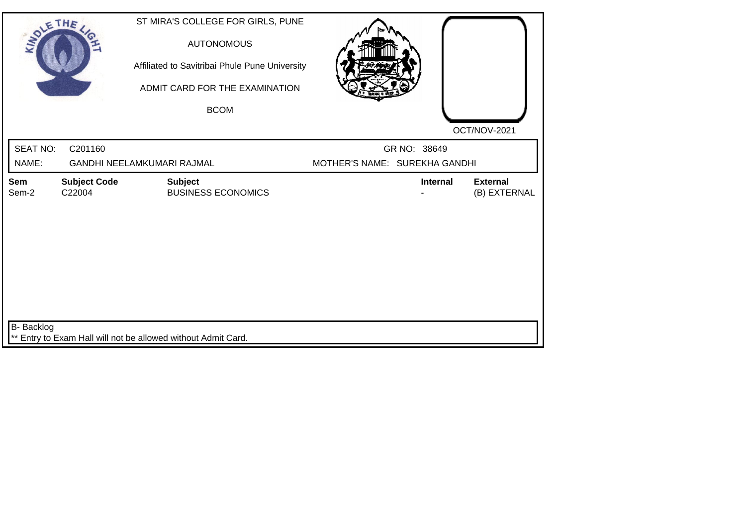| SOLE THE                 |                               | ST MIRA'S COLLEGE FOR GIRLS, PUNE<br><b>AUTONOMOUS</b><br>Affiliated to Savitribai Phule Pune University<br>ADMIT CARD FOR THE EXAMINATION<br><b>BCOM</b> |                               |              | OCT/NOV-2021                    |
|--------------------------|-------------------------------|-----------------------------------------------------------------------------------------------------------------------------------------------------------|-------------------------------|--------------|---------------------------------|
| <b>SEAT NO:</b><br>NAME: | C201160                       | GANDHI NEELAMKUMARI RAJMAL                                                                                                                                | MOTHER'S NAME: SUREKHA GANDHI | GR NO: 38649 |                                 |
| Sem<br>Sem-2             | <b>Subject Code</b><br>C22004 | <b>Subject</b><br><b>BUSINESS ECONOMICS</b>                                                                                                               |                               | Internal     | <b>External</b><br>(B) EXTERNAL |
| B- Backlog               |                               | ** Entry to Exam Hall will not be allowed without Admit Card.                                                                                             |                               |              |                                 |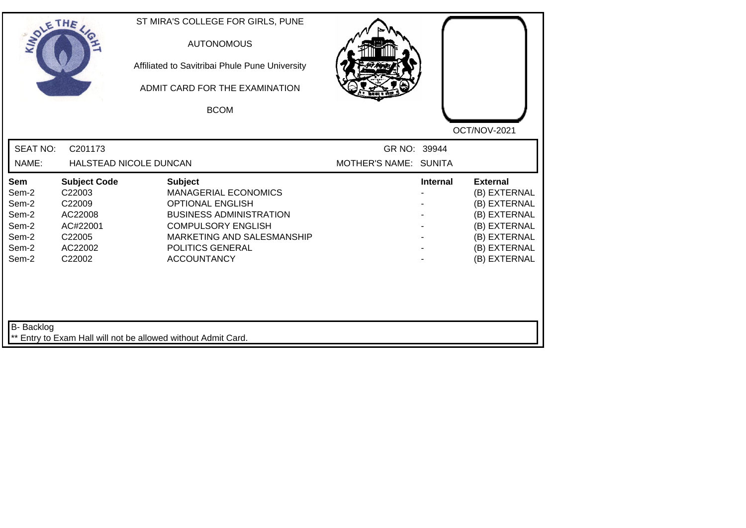| SOLETHE ,                                                          |                                                                                               | ST MIRA'S COLLEGE FOR GIRLS, PUNE<br><b>AUTONOMOUS</b><br>Affiliated to Savitribai Phule Pune University<br>ADMIT CARD FOR THE EXAMINATION<br><b>BCOM</b>                                                       |                                       |                 |                                                                                                                                 |
|--------------------------------------------------------------------|-----------------------------------------------------------------------------------------------|-----------------------------------------------------------------------------------------------------------------------------------------------------------------------------------------------------------------|---------------------------------------|-----------------|---------------------------------------------------------------------------------------------------------------------------------|
| <b>SEAT NO:</b><br>NAME:                                           | C201173                                                                                       | HALSTEAD NICOLE DUNCAN                                                                                                                                                                                          | GR NO: 39944<br>MOTHER'S NAME: SUNITA |                 | OCT/NOV-2021                                                                                                                    |
| Sem<br>Sem-2<br>Sem-2<br>Sem-2<br>Sem-2<br>Sem-2<br>Sem-2<br>Sem-2 | <b>Subject Code</b><br>C22003<br>C22009<br>AC22008<br>AC#22001<br>C22005<br>AC22002<br>C22002 | <b>Subject</b><br><b>MANAGERIAL ECONOMICS</b><br><b>OPTIONAL ENGLISH</b><br><b>BUSINESS ADMINISTRATION</b><br><b>COMPULSORY ENGLISH</b><br>MARKETING AND SALESMANSHIP<br>POLITICS GENERAL<br><b>ACCOUNTANCY</b> |                                       | <b>Internal</b> | <b>External</b><br>(B) EXTERNAL<br>(B) EXTERNAL<br>(B) EXTERNAL<br>(B) EXTERNAL<br>(B) EXTERNAL<br>(B) EXTERNAL<br>(B) EXTERNAL |
| B- Backlog                                                         |                                                                                               | ** Entry to Exam Hall will not be allowed without Admit Card.                                                                                                                                                   |                                       |                 |                                                                                                                                 |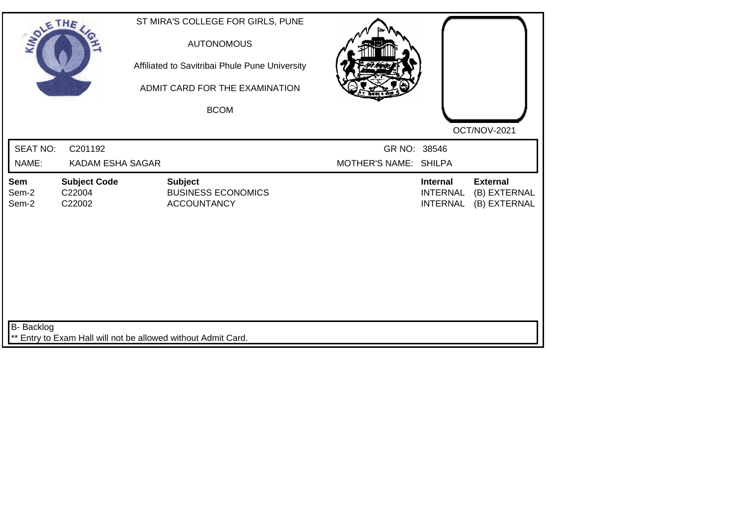| SOLE THE                 |                                         | ST MIRA'S COLLEGE FOR GIRLS, PUNE<br><b>AUTONOMOUS</b><br>Affiliated to Savitribai Phule Pune University<br>ADMIT CARD FOR THE EXAMINATION<br><b>BCOM</b> |                                       |                                                       | OCT/NOV-2021                                    |
|--------------------------|-----------------------------------------|-----------------------------------------------------------------------------------------------------------------------------------------------------------|---------------------------------------|-------------------------------------------------------|-------------------------------------------------|
| <b>SEAT NO:</b><br>NAME: | C201192<br>KADAM ESHA SAGAR             |                                                                                                                                                           | GR NO: 38546<br>MOTHER'S NAME: SHILPA |                                                       |                                                 |
| Sem<br>Sem-2<br>Sem-2    | <b>Subject Code</b><br>C22004<br>C22002 | <b>Subject</b><br><b>BUSINESS ECONOMICS</b><br><b>ACCOUNTANCY</b>                                                                                         |                                       | <b>Internal</b><br><b>INTERNAL</b><br><b>INTERNAL</b> | <b>External</b><br>(B) EXTERNAL<br>(B) EXTERNAL |
| B- Backlog               |                                         | ** Entry to Exam Hall will not be allowed without Admit Card.                                                                                             |                                       |                                                       |                                                 |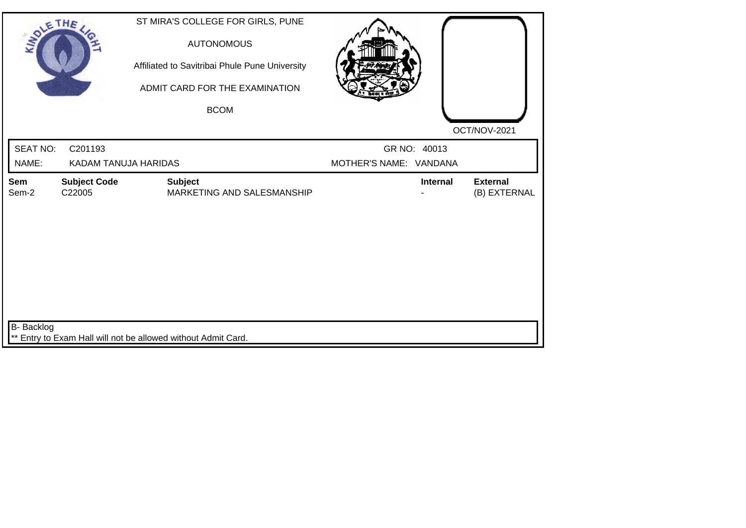| SOLETHE ,                |                                 | ST MIRA'S COLLEGE FOR GIRLS, PUNE<br><b>AUTONOMOUS</b><br>Affiliated to Savitribai Phule Pune University<br>ADMIT CARD FOR THE EXAMINATION<br><b>BCOM</b> |                                        |                                 |
|--------------------------|---------------------------------|-----------------------------------------------------------------------------------------------------------------------------------------------------------|----------------------------------------|---------------------------------|
| <b>SEAT NO:</b><br>NAME: | C201193<br>KADAM TANUJA HARIDAS |                                                                                                                                                           | GR NO: 40013<br>MOTHER'S NAME: VANDANA | OCT/NOV-2021                    |
| Sem<br>Sem-2             | <b>Subject Code</b><br>C22005   | <b>Subject</b><br>MARKETING AND SALESMANSHIP                                                                                                              | <b>Internal</b>                        | <b>External</b><br>(B) EXTERNAL |
| <b>B-</b> Backlog        |                                 | ** Entry to Exam Hall will not be allowed without Admit Card.                                                                                             |                                        |                                 |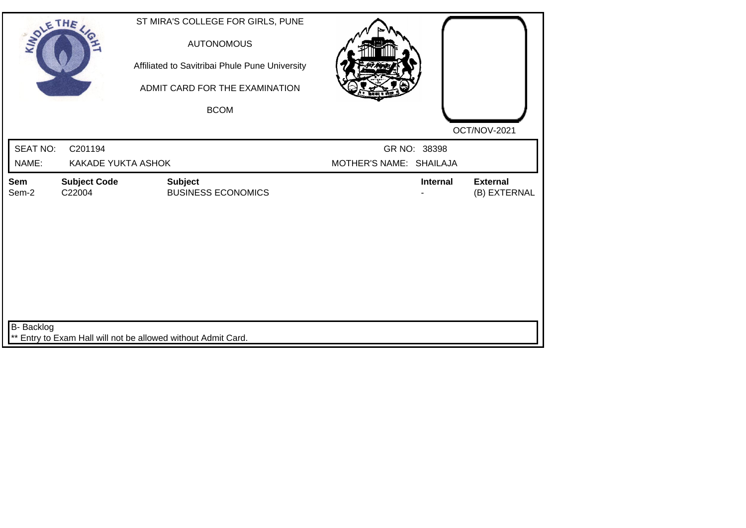| SOLE THE          |                               | ST MIRA'S COLLEGE FOR GIRLS, PUNE<br><b>AUTONOMOUS</b><br>Affiliated to Savitribai Phule Pune University<br>ADMIT CARD FOR THE EXAMINATION<br><b>BCOM</b> |                                         |                                 |
|-------------------|-------------------------------|-----------------------------------------------------------------------------------------------------------------------------------------------------------|-----------------------------------------|---------------------------------|
| SEAT NO:<br>NAME: | C201194<br>KAKADE YUKTA ASHOK |                                                                                                                                                           | GR NO: 38398<br>MOTHER'S NAME: SHAILAJA | OCT/NOV-2021                    |
| Sem<br>Sem-2      | <b>Subject Code</b><br>C22004 | <b>Subject</b><br><b>BUSINESS ECONOMICS</b>                                                                                                               | Internal                                | <b>External</b><br>(B) EXTERNAL |
| B- Backlog        |                               | ** Entry to Exam Hall will not be allowed without Admit Card.                                                                                             |                                         |                                 |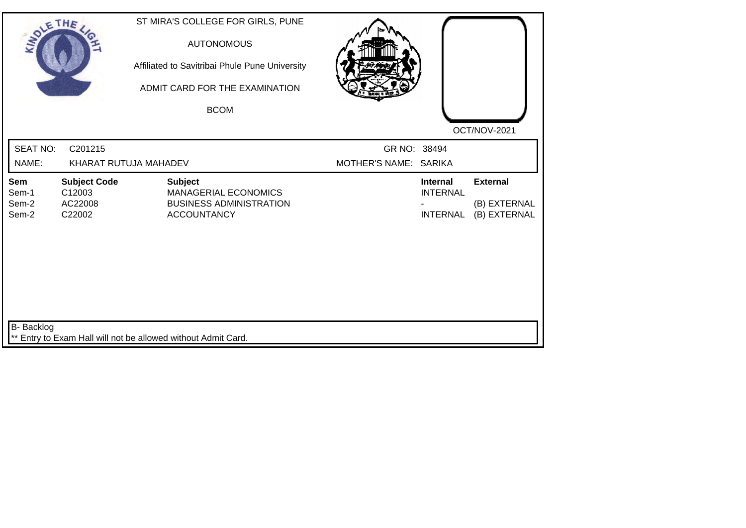| SOLE THE                       |                                                               |                | ST MIRA'S COLLEGE FOR GIRLS, PUNE<br><b>AUTONOMOUS</b><br>Affiliated to Savitribai Phule Pune University<br>ADMIT CARD FOR THE EXAMINATION<br><b>BCOM</b> |                                       |                                                       | OCT/NOV-2021                                    |
|--------------------------------|---------------------------------------------------------------|----------------|-----------------------------------------------------------------------------------------------------------------------------------------------------------|---------------------------------------|-------------------------------------------------------|-------------------------------------------------|
| <b>SEAT NO:</b><br>NAME:       | C201215<br>KHARAT RUTUJA MAHADEV                              |                |                                                                                                                                                           | GR NO: 38494<br>MOTHER'S NAME: SARIKA |                                                       |                                                 |
| Sem<br>Sem-1<br>Sem-2<br>Sem-2 | <b>Subject Code</b><br>C12003<br>AC22008<br>C22002            | <b>Subject</b> | <b>MANAGERIAL ECONOMICS</b><br><b>BUSINESS ADMINISTRATION</b><br><b>ACCOUNTANCY</b>                                                                       |                                       | <b>Internal</b><br><b>INTERNAL</b><br><b>INTERNAL</b> | <b>External</b><br>(B) EXTERNAL<br>(B) EXTERNAL |
| B- Backlog                     | ** Entry to Exam Hall will not be allowed without Admit Card. |                |                                                                                                                                                           |                                       |                                                       |                                                 |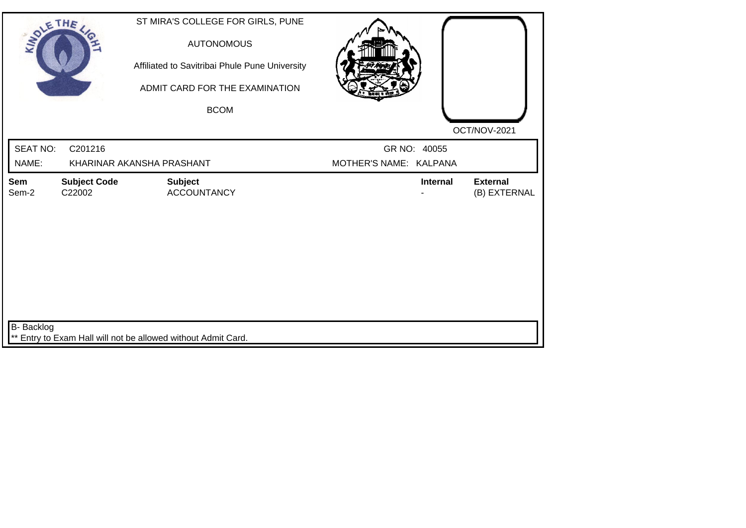| SOLE THE                 |                               | ST MIRA'S COLLEGE FOR GIRLS, PUNE<br><b>AUTONOMOUS</b><br>Affiliated to Savitribai Phule Pune University<br>ADMIT CARD FOR THE EXAMINATION<br><b>BCOM</b> |                                        | OCT/NOV-2021                    |
|--------------------------|-------------------------------|-----------------------------------------------------------------------------------------------------------------------------------------------------------|----------------------------------------|---------------------------------|
| <b>SEAT NO:</b><br>NAME: | C201216                       | KHARINAR AKANSHA PRASHANT                                                                                                                                 | GR NO: 40055<br>MOTHER'S NAME: KALPANA |                                 |
| Sem<br>Sem-2             | <b>Subject Code</b><br>C22002 | <b>Subject</b><br><b>ACCOUNTANCY</b>                                                                                                                      | <b>Internal</b>                        | <b>External</b><br>(B) EXTERNAL |
| <b>B-</b> Backlog        |                               | ** Entry to Exam Hall will not be allowed without Admit Card.                                                                                             |                                        |                                 |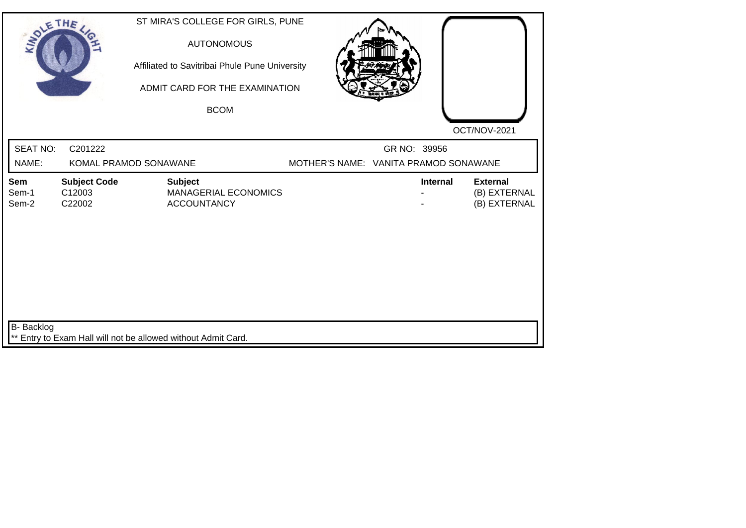| SOLETHE ,                |                                         | ST MIRA'S COLLEGE FOR GIRLS, PUNE<br><b>AUTONOMOUS</b><br>Affiliated to Savitribai Phule Pune University<br>ADMIT CARD FOR THE EXAMINATION<br><b>BCOM</b> |  |                                                       |                                                 |
|--------------------------|-----------------------------------------|-----------------------------------------------------------------------------------------------------------------------------------------------------------|--|-------------------------------------------------------|-------------------------------------------------|
|                          |                                         |                                                                                                                                                           |  |                                                       | OCT/NOV-2021                                    |
| <b>SEAT NO:</b><br>NAME: | C201222                                 | KOMAL PRAMOD SONAWANE                                                                                                                                     |  | GR NO: 39956<br>MOTHER'S NAME: VANITA PRAMOD SONAWANE |                                                 |
| Sem<br>Sem-1<br>Sem-2    | <b>Subject Code</b><br>C12003<br>C22002 | <b>Subject</b><br><b>MANAGERIAL ECONOMICS</b><br><b>ACCOUNTANCY</b>                                                                                       |  | Internal                                              | <b>External</b><br>(B) EXTERNAL<br>(B) EXTERNAL |
| B- Backlog               |                                         | ** Entry to Exam Hall will not be allowed without Admit Card.                                                                                             |  |                                                       |                                                 |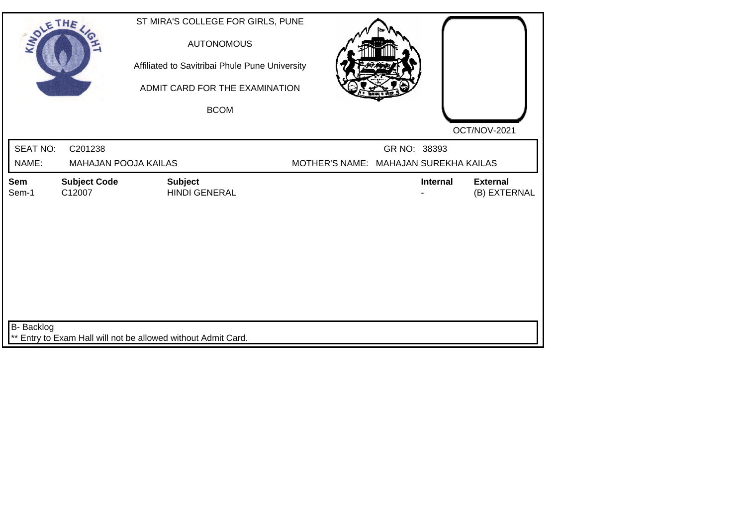| SOLETHE ,       |                               | ST MIRA'S COLLEGE FOR GIRLS, PUNE<br><b>AUTONOMOUS</b><br>Affiliated to Savitribai Phule Pune University<br>ADMIT CARD FOR THE EXAMINATION |                                       |                 |                                 |
|-----------------|-------------------------------|--------------------------------------------------------------------------------------------------------------------------------------------|---------------------------------------|-----------------|---------------------------------|
|                 |                               | <b>BCOM</b>                                                                                                                                |                                       |                 |                                 |
|                 |                               |                                                                                                                                            |                                       |                 | OCT/NOV-2021                    |
| <b>SEAT NO:</b> | C201238                       |                                                                                                                                            |                                       | GR NO: 38393    |                                 |
| NAME:           | <b>MAHAJAN POOJA KAILAS</b>   |                                                                                                                                            | MOTHER'S NAME: MAHAJAN SUREKHA KAILAS |                 |                                 |
| Sem<br>Sem-1    | <b>Subject Code</b><br>C12007 | <b>Subject</b><br><b>HINDI GENERAL</b>                                                                                                     |                                       | <b>Internal</b> | <b>External</b><br>(B) EXTERNAL |
| B- Backlog      |                               | ** Entry to Exam Hall will not be allowed without Admit Card.                                                                              |                                       |                 |                                 |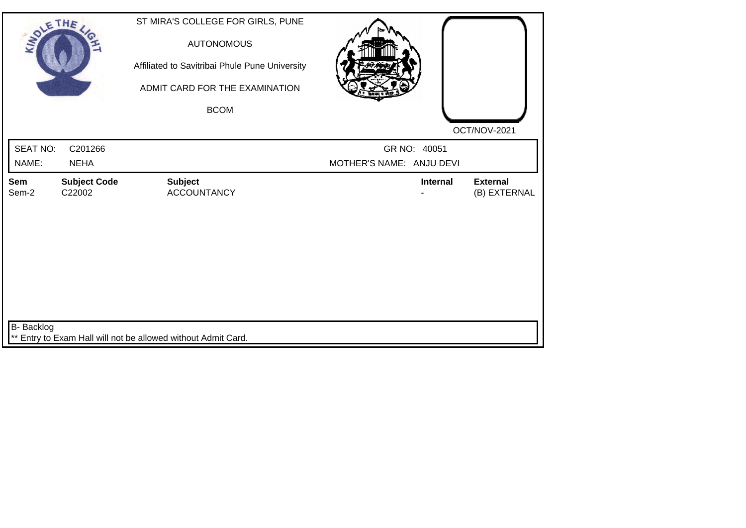| SOLETHE,            |                               | ST MIRA'S COLLEGE FOR GIRLS, PUNE<br><b>AUTONOMOUS</b><br>Affiliated to Savitribai Phule Pune University<br>ADMIT CARD FOR THE EXAMINATION<br><b>BCOM</b> |                          | OCT/NOV-2021                    |
|---------------------|-------------------------------|-----------------------------------------------------------------------------------------------------------------------------------------------------------|--------------------------|---------------------------------|
| SEAT NO:            | C201266                       |                                                                                                                                                           | GR NO: 40051             |                                 |
| NAME:               | <b>NEHA</b>                   |                                                                                                                                                           | MOTHER'S NAME: ANJU DEVI |                                 |
| <b>Sem</b><br>Sem-2 | <b>Subject Code</b><br>C22002 | <b>Subject</b><br><b>ACCOUNTANCY</b>                                                                                                                      | <b>Internal</b>          | <b>External</b><br>(B) EXTERNAL |
| <b>B-</b> Backlog   |                               | ** Entry to Exam Hall will not be allowed without Admit Card.                                                                                             |                          |                                 |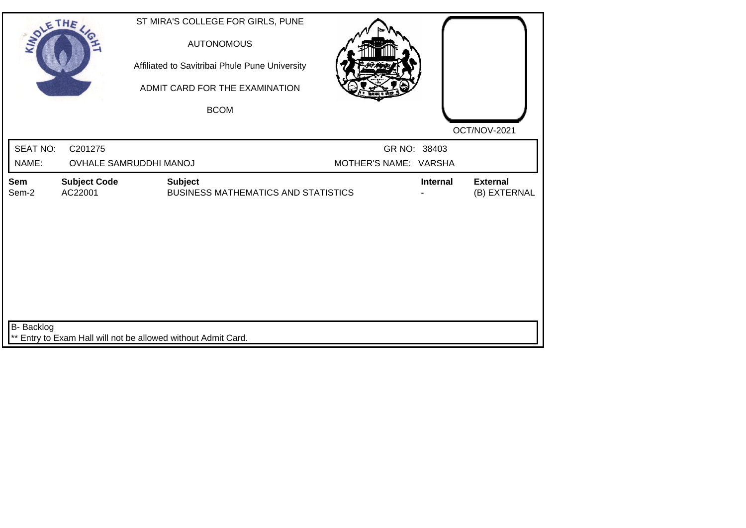| SOLE THE                 |                                | ST MIRA'S COLLEGE FOR GIRLS, PUNE<br><b>AUTONOMOUS</b><br>Affiliated to Savitribai Phule Pune University<br>ADMIT CARD FOR THE EXAMINATION<br><b>BCOM</b> |                                       |                                             |
|--------------------------|--------------------------------|-----------------------------------------------------------------------------------------------------------------------------------------------------------|---------------------------------------|---------------------------------------------|
|                          |                                |                                                                                                                                                           |                                       |                                             |
| <b>SEAT NO:</b><br>NAME: | C201275                        | <b>OVHALE SAMRUDDHI MANOJ</b>                                                                                                                             | GR NO: 38403<br>MOTHER'S NAME: VARSHA | OCT/NOV-2021                                |
| Sem<br>Sem-2             | <b>Subject Code</b><br>AC22001 | <b>Subject</b><br><b>BUSINESS MATHEMATICS AND STATISTICS</b>                                                                                              |                                       | Internal<br><b>External</b><br>(B) EXTERNAL |
|                          |                                |                                                                                                                                                           |                                       |                                             |
|                          |                                |                                                                                                                                                           |                                       |                                             |
|                          |                                |                                                                                                                                                           |                                       |                                             |
|                          |                                |                                                                                                                                                           |                                       |                                             |
| <b>B-</b> Backlog        |                                |                                                                                                                                                           |                                       |                                             |
|                          |                                | ** Entry to Exam Hall will not be allowed without Admit Card.                                                                                             |                                       |                                             |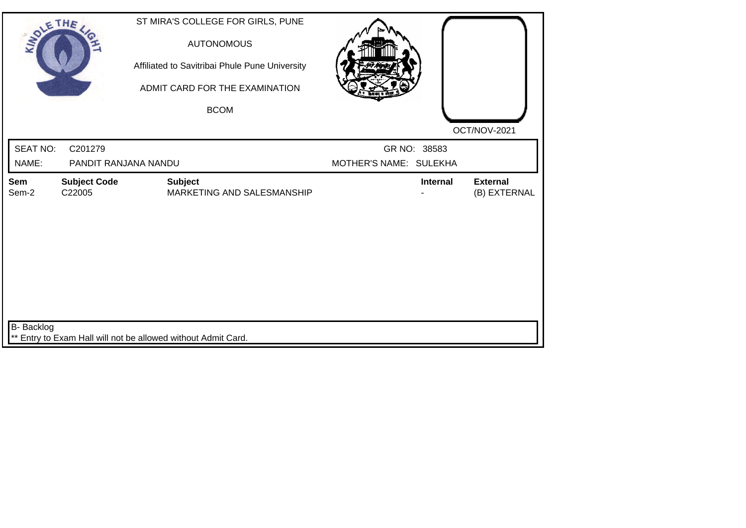| SOLE THE                 |                                 | ST MIRA'S COLLEGE FOR GIRLS, PUNE<br><b>AUTONOMOUS</b><br>Affiliated to Savitribai Phule Pune University<br>ADMIT CARD FOR THE EXAMINATION<br><b>BCOM</b> |                                        |                                 |
|--------------------------|---------------------------------|-----------------------------------------------------------------------------------------------------------------------------------------------------------|----------------------------------------|---------------------------------|
| <b>SEAT NO:</b><br>NAME: | C201279<br>PANDIT RANJANA NANDU |                                                                                                                                                           | GR NO: 38583<br>MOTHER'S NAME: SULEKHA | OCT/NOV-2021                    |
| Sem<br>Sem-2             | <b>Subject Code</b><br>C22005   | <b>Subject</b><br>MARKETING AND SALESMANSHIP                                                                                                              | <b>Internal</b>                        | <b>External</b><br>(B) EXTERNAL |
| B- Backlog               |                                 | ** Entry to Exam Hall will not be allowed without Admit Card.                                                                                             |                                        |                                 |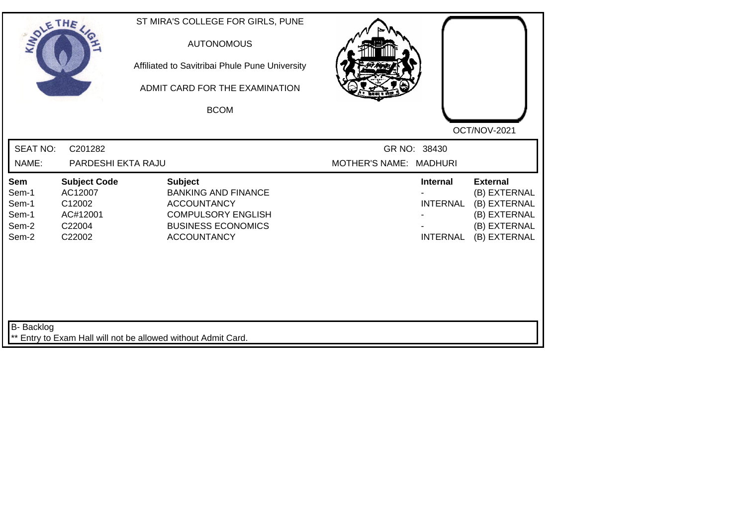| SOLETHE ,                                               |                                                                          | ST MIRA'S COLLEGE FOR GIRLS, PUNE<br><b>AUTONOMOUS</b><br>Affiliated to Savitribai Phule Pune University<br>ADMIT CARD FOR THE EXAMINATION<br><b>BCOM</b> |                        |                                                       | OCT/NOV-2021                                                                                    |
|---------------------------------------------------------|--------------------------------------------------------------------------|-----------------------------------------------------------------------------------------------------------------------------------------------------------|------------------------|-------------------------------------------------------|-------------------------------------------------------------------------------------------------|
| <b>SEAT NO:</b><br>NAME:                                | C201282<br>PARDESHI EKTA RAJU                                            |                                                                                                                                                           | MOTHER'S NAME: MADHURI | GR NO: 38430                                          |                                                                                                 |
| <b>Sem</b><br>Sem-1<br>Sem-1<br>Sem-1<br>Sem-2<br>Sem-2 | <b>Subject Code</b><br>AC12007<br>C12002<br>AC#12001<br>C22004<br>C22002 | <b>Subject</b><br><b>BANKING AND FINANCE</b><br><b>ACCOUNTANCY</b><br><b>COMPULSORY ENGLISH</b><br><b>BUSINESS ECONOMICS</b><br><b>ACCOUNTANCY</b>        |                        | <b>Internal</b><br><b>INTERNAL</b><br><b>INTERNAL</b> | <b>External</b><br>(B) EXTERNAL<br>(B) EXTERNAL<br>(B) EXTERNAL<br>(B) EXTERNAL<br>(B) EXTERNAL |
| B- Backlog                                              |                                                                          | ** Entry to Exam Hall will not be allowed without Admit Card.                                                                                             |                        |                                                       |                                                                                                 |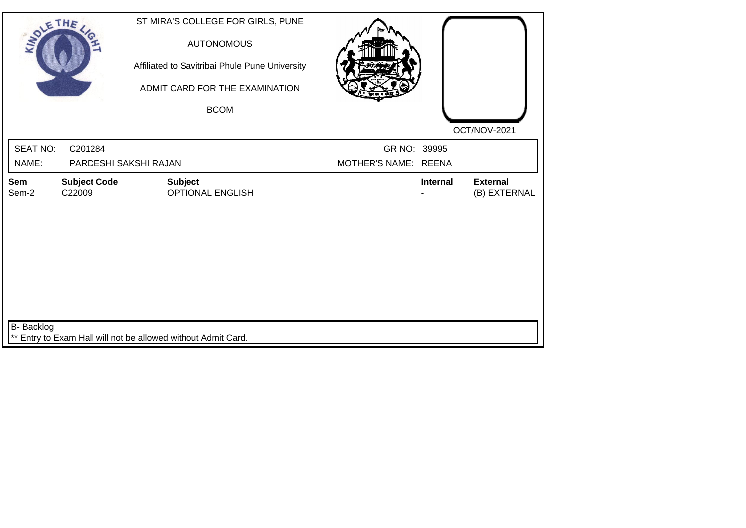| SOLE THE          |                                  | ST MIRA'S COLLEGE FOR GIRLS, PUNE<br><b>AUTONOMOUS</b><br>Affiliated to Savitribai Phule Pune University<br>ADMIT CARD FOR THE EXAMINATION<br><b>BCOM</b> |                                      |          | OCT/NOV-2021                    |
|-------------------|----------------------------------|-----------------------------------------------------------------------------------------------------------------------------------------------------------|--------------------------------------|----------|---------------------------------|
| SEAT NO:<br>NAME: | C201284<br>PARDESHI SAKSHI RAJAN |                                                                                                                                                           | GR NO: 39995<br>MOTHER'S NAME: REENA |          |                                 |
| Sem<br>Sem-2      | <b>Subject Code</b><br>C22009    | <b>Subject</b><br><b>OPTIONAL ENGLISH</b>                                                                                                                 |                                      | Internal | <b>External</b><br>(B) EXTERNAL |
| B- Backlog        |                                  | ** Entry to Exam Hall will not be allowed without Admit Card.                                                                                             |                                      |          |                                 |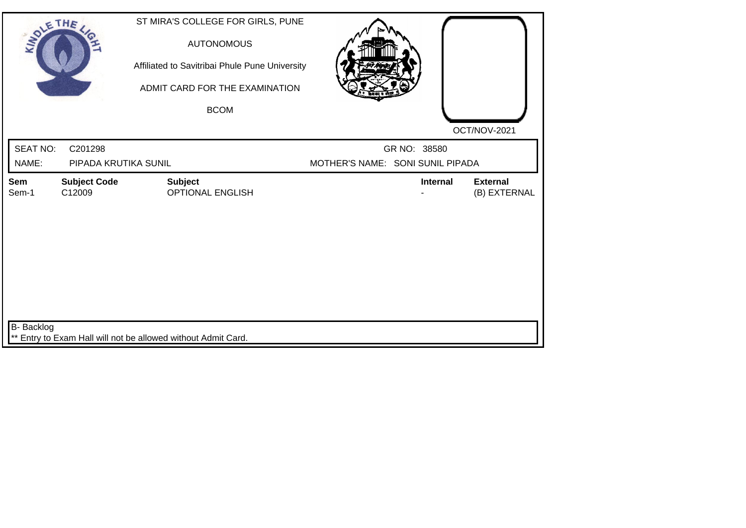| SOLE THE          |                                                               |                | ST MIRA'S COLLEGE FOR GIRLS, PUNE<br><b>AUTONOMOUS</b><br>Affiliated to Savitribai Phule Pune University<br>ADMIT CARD FOR THE EXAMINATION<br><b>BCOM</b> |                                  |                 |                                 |
|-------------------|---------------------------------------------------------------|----------------|-----------------------------------------------------------------------------------------------------------------------------------------------------------|----------------------------------|-----------------|---------------------------------|
| <b>SEAT NO:</b>   | C201298                                                       |                |                                                                                                                                                           |                                  | GR NO: 38580    | OCT/NOV-2021                    |
| NAME:             | PIPADA KRUTIKA SUNIL                                          |                |                                                                                                                                                           | MOTHER'S NAME: SONI SUNIL PIPADA |                 |                                 |
| Sem<br>Sem-1      | <b>Subject Code</b><br>C12009                                 | <b>Subject</b> | <b>OPTIONAL ENGLISH</b>                                                                                                                                   |                                  | <b>Internal</b> | <b>External</b><br>(B) EXTERNAL |
| <b>B-</b> Backlog | ** Entry to Exam Hall will not be allowed without Admit Card. |                |                                                                                                                                                           |                                  |                 |                                 |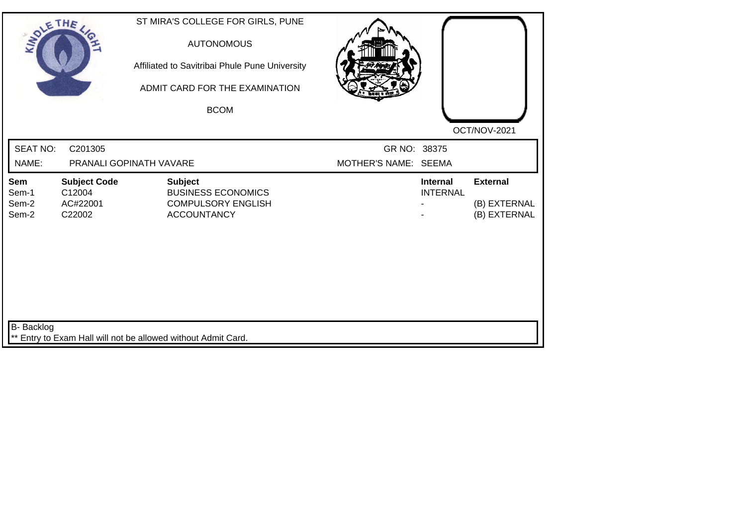| SOLETHE,                       |                                                     | ST MIRA'S COLLEGE FOR GIRLS, PUNE<br><b>AUTONOMOUS</b><br>Affiliated to Savitribai Phule Pune University<br>ADMIT CARD FOR THE EXAMINATION<br><b>BCOM</b> |                                      |                                    |                                                 |
|--------------------------------|-----------------------------------------------------|-----------------------------------------------------------------------------------------------------------------------------------------------------------|--------------------------------------|------------------------------------|-------------------------------------------------|
| <b>SEAT NO:</b><br>NAME:       | C201305                                             | PRANALI GOPINATH VAVARE                                                                                                                                   | GR NO: 38375<br>MOTHER'S NAME: SEEMA |                                    | OCT/NOV-2021                                    |
| Sem<br>Sem-1<br>Sem-2<br>Sem-2 | <b>Subject Code</b><br>C12004<br>AC#22001<br>C22002 | <b>Subject</b><br><b>BUSINESS ECONOMICS</b><br><b>COMPULSORY ENGLISH</b><br><b>ACCOUNTANCY</b>                                                            |                                      | <b>Internal</b><br><b>INTERNAL</b> | <b>External</b><br>(B) EXTERNAL<br>(B) EXTERNAL |
| B- Backlog                     |                                                     | ** Entry to Exam Hall will not be allowed without Admit Card.                                                                                             |                                      |                                    |                                                 |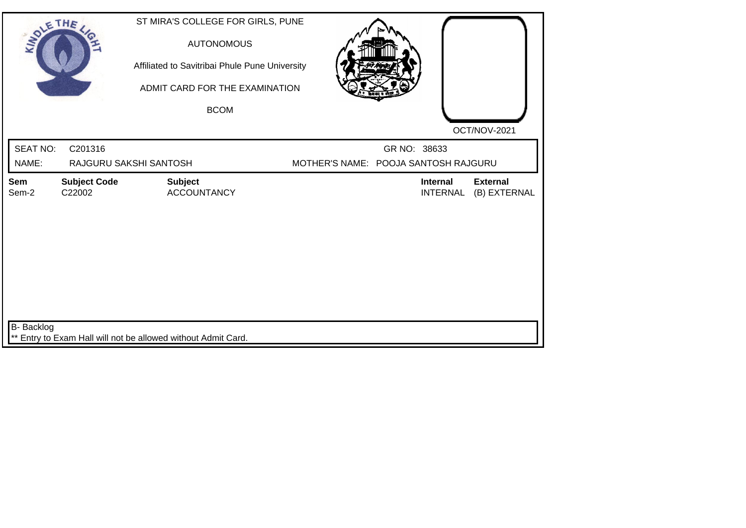| SOLETHE ,         |                               | ST MIRA'S COLLEGE FOR GIRLS, PUNE<br><b>AUTONOMOUS</b><br>Affiliated to Savitribai Phule Pune University<br>ADMIT CARD FOR THE EXAMINATION |  |                                      |                                 |
|-------------------|-------------------------------|--------------------------------------------------------------------------------------------------------------------------------------------|--|--------------------------------------|---------------------------------|
|                   |                               | <b>BCOM</b>                                                                                                                                |  |                                      | OCT/NOV-2021                    |
| <b>SEAT NO:</b>   | C201316                       |                                                                                                                                            |  | GR NO: 38633                         |                                 |
| NAME:             |                               | RAJGURU SAKSHI SANTOSH                                                                                                                     |  | MOTHER'S NAME: POOJA SANTOSH RAJGURU |                                 |
| Sem<br>Sem-2      | <b>Subject Code</b><br>C22002 | <b>Subject</b><br><b>ACCOUNTANCY</b>                                                                                                       |  | <b>Internal</b><br><b>INTERNAL</b>   | <b>External</b><br>(B) EXTERNAL |
| <b>B-</b> Backlog |                               | ** Entry to Exam Hall will not be allowed without Admit Card.                                                                              |  |                                      |                                 |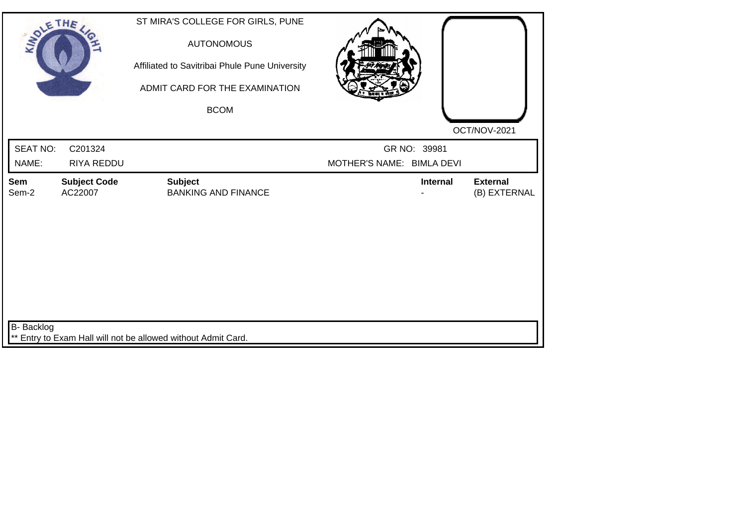| SOLETHE,        |                                | ST MIRA'S COLLEGE FOR GIRLS, PUNE<br><b>AUTONOMOUS</b><br>Affiliated to Savitribai Phule Pune University<br>ADMIT CARD FOR THE EXAMINATION<br><b>BCOM</b> |                           | OCT/NOV-2021                    |
|-----------------|--------------------------------|-----------------------------------------------------------------------------------------------------------------------------------------------------------|---------------------------|---------------------------------|
| <b>SEAT NO:</b> | C201324                        |                                                                                                                                                           | GR NO: 39981              |                                 |
| NAME:           | RIYA REDDU                     |                                                                                                                                                           | MOTHER'S NAME: BIMLA DEVI |                                 |
| Sem<br>Sem-2    | <b>Subject Code</b><br>AC22007 | <b>Subject</b><br><b>BANKING AND FINANCE</b>                                                                                                              | <b>Internal</b>           | <b>External</b><br>(B) EXTERNAL |
| B- Backlog      |                                | ** Entry to Exam Hall will not be allowed without Admit Card.                                                                                             |                           |                                 |
|                 |                                |                                                                                                                                                           |                           |                                 |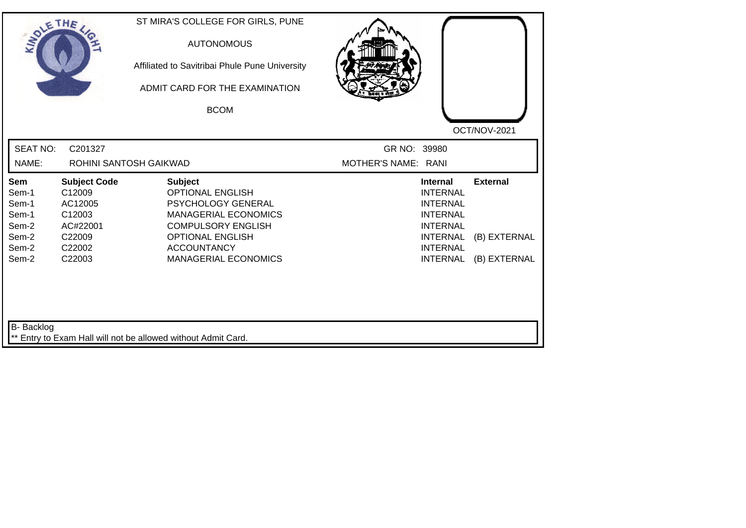| SOLE THE                                                                                |                                                                                              | ST MIRA'S COLLEGE FOR GIRLS, PUNE<br><b>AUTONOMOUS</b><br>Affiliated to Savitribai Phule Pune University<br>ADMIT CARD FOR THE EXAMINATION<br><b>BCOM</b>                                                   | OCT/NOV-2021                                                                                                                                                                                            |
|-----------------------------------------------------------------------------------------|----------------------------------------------------------------------------------------------|-------------------------------------------------------------------------------------------------------------------------------------------------------------------------------------------------------------|---------------------------------------------------------------------------------------------------------------------------------------------------------------------------------------------------------|
| <b>SEAT NO:</b><br>NAME:                                                                | C201327                                                                                      | ROHINI SANTOSH GAIKWAD                                                                                                                                                                                      | GR NO: 39980<br>MOTHER'S NAME: RANI                                                                                                                                                                     |
| Sem<br>Sem-1<br>Sem-1<br>Sem-1<br>Sem-2<br>Sem-2<br>Sem-2<br>Sem-2<br><b>B-</b> Backlog | <b>Subject Code</b><br>C12009<br>AC12005<br>C12003<br>AC#22001<br>C22009<br>C22002<br>C22003 | <b>Subject</b><br><b>OPTIONAL ENGLISH</b><br>PSYCHOLOGY GENERAL<br><b>MANAGERIAL ECONOMICS</b><br><b>COMPULSORY ENGLISH</b><br><b>OPTIONAL ENGLISH</b><br><b>ACCOUNTANCY</b><br><b>MANAGERIAL ECONOMICS</b> | <b>Internal</b><br><b>External</b><br><b>INTERNAL</b><br><b>INTERNAL</b><br><b>INTERNAL</b><br><b>INTERNAL</b><br><b>INTERNAL</b><br>(B) EXTERNAL<br><b>INTERNAL</b><br>(B) EXTERNAL<br><b>INTERNAL</b> |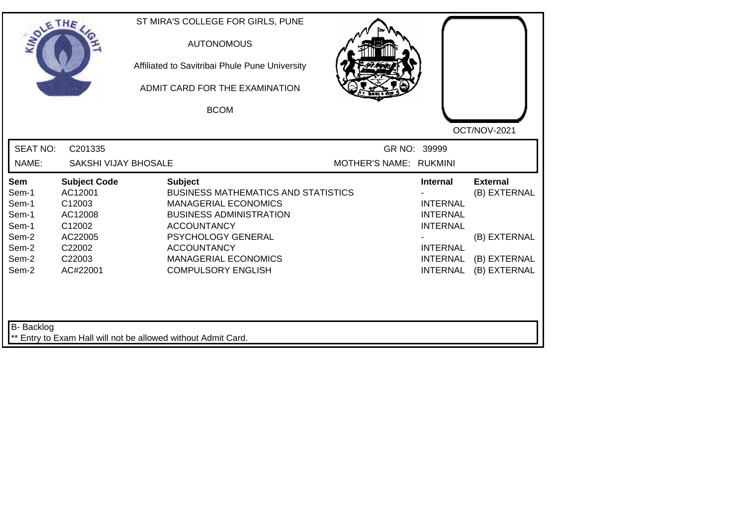| SOLE THE                                                                           |                                                                                                          | ST MIRA'S COLLEGE FOR GIRLS, PUNE<br><b>AUTONOMOUS</b><br>Affiliated to Savitribai Phule Pune University<br>ADMIT CARD FOR THE EXAMINATION<br><b>BCOM</b>                                                                                                   |                        |                                                                                                                                   | OCT/NOV-2021                                                                    |
|------------------------------------------------------------------------------------|----------------------------------------------------------------------------------------------------------|-------------------------------------------------------------------------------------------------------------------------------------------------------------------------------------------------------------------------------------------------------------|------------------------|-----------------------------------------------------------------------------------------------------------------------------------|---------------------------------------------------------------------------------|
| <b>SEAT NO:</b><br>NAME:                                                           | C201335<br><b>SAKSHI VIJAY BHOSALE</b>                                                                   |                                                                                                                                                                                                                                                             | MOTHER'S NAME: RUKMINI | GR NO: 39999                                                                                                                      |                                                                                 |
| <b>Sem</b><br>Sem-1<br>Sem-1<br>Sem-1<br>Sem-1<br>Sem-2<br>Sem-2<br>Sem-2<br>Sem-2 | <b>Subject Code</b><br>AC12001<br>C12003<br>AC12008<br>C12002<br>AC22005<br>C22002<br>C22003<br>AC#22001 | <b>Subject</b><br><b>BUSINESS MATHEMATICS AND STATISTICS</b><br><b>MANAGERIAL ECONOMICS</b><br><b>BUSINESS ADMINISTRATION</b><br><b>ACCOUNTANCY</b><br>PSYCHOLOGY GENERAL<br><b>ACCOUNTANCY</b><br><b>MANAGERIAL ECONOMICS</b><br><b>COMPULSORY ENGLISH</b> |                        | <b>Internal</b><br><b>INTERNAL</b><br><b>INTERNAL</b><br><b>INTERNAL</b><br><b>INTERNAL</b><br><b>INTERNAL</b><br><b>INTERNAL</b> | <b>External</b><br>(B) EXTERNAL<br>(B) EXTERNAL<br>(B) EXTERNAL<br>(B) EXTERNAL |
| B- Backlog                                                                         |                                                                                                          | ** Entry to Exam Hall will not be allowed without Admit Card.                                                                                                                                                                                               |                        |                                                                                                                                   |                                                                                 |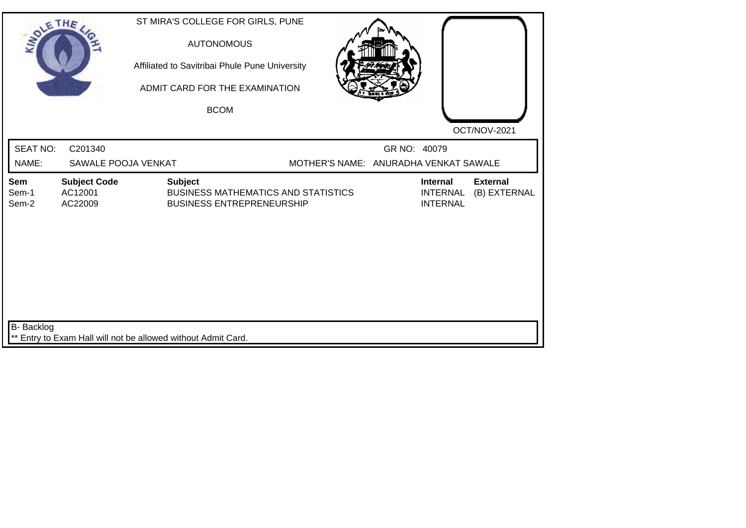| SOLE THE                 |                                                               | ST MIRA'S COLLEGE FOR GIRLS, PUNE<br><b>AUTONOMOUS</b><br>Affiliated to Savitribai Phule Pune University<br>ADMIT CARD FOR THE EXAMINATION<br><b>BCOM</b> |                                                       |                                                       | OCT/NOV-2021                    |
|--------------------------|---------------------------------------------------------------|-----------------------------------------------------------------------------------------------------------------------------------------------------------|-------------------------------------------------------|-------------------------------------------------------|---------------------------------|
| <b>SEAT NO:</b><br>NAME: | C201340<br>SAWALE POOJA VENKAT                                |                                                                                                                                                           | GR NO: 40079<br>MOTHER'S NAME: ANURADHA VENKAT SAWALE |                                                       |                                 |
| Sem<br>Sem-1<br>Sem-2    | <b>Subject Code</b><br>AC12001<br>AC22009                     | <b>Subject</b><br><b>BUSINESS MATHEMATICS AND STATISTICS</b><br><b>BUSINESS ENTREPRENEURSHIP</b>                                                          |                                                       | <b>Internal</b><br><b>INTERNAL</b><br><b>INTERNAL</b> | <b>External</b><br>(B) EXTERNAL |
| B- Backlog               | ** Entry to Exam Hall will not be allowed without Admit Card. |                                                                                                                                                           |                                                       |                                                       |                                 |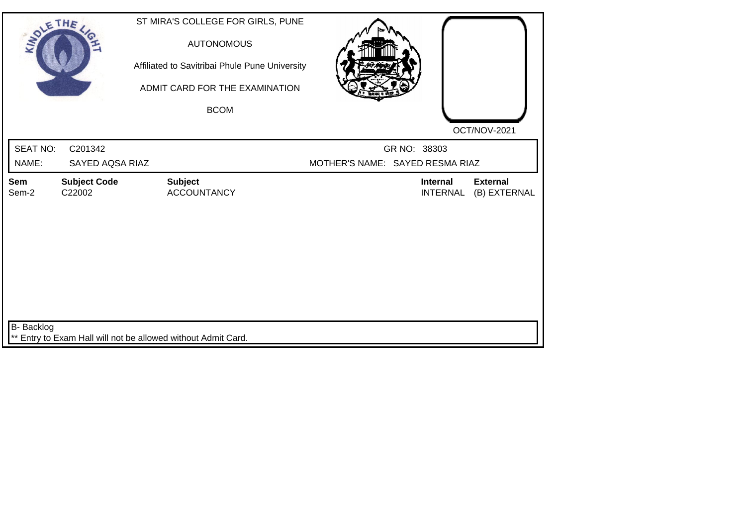| SOLETHE ,                |                               | ST MIRA'S COLLEGE FOR GIRLS, PUNE<br><b>AUTONOMOUS</b><br>Affiliated to Savitribai Phule Pune University<br>ADMIT CARD FOR THE EXAMINATION<br><b>BCOM</b> |                                                 |                                    | OCT/NOV-2021                    |
|--------------------------|-------------------------------|-----------------------------------------------------------------------------------------------------------------------------------------------------------|-------------------------------------------------|------------------------------------|---------------------------------|
| <b>SEAT NO:</b><br>NAME: | C201342<br>SAYED AQSA RIAZ    |                                                                                                                                                           | GR NO: 38303<br>MOTHER'S NAME: SAYED RESMA RIAZ |                                    |                                 |
| Sem<br>Sem-2             | <b>Subject Code</b><br>C22002 | <b>Subject</b><br><b>ACCOUNTANCY</b>                                                                                                                      |                                                 | <b>Internal</b><br><b>INTERNAL</b> | <b>External</b><br>(B) EXTERNAL |
| <b>B-</b> Backlog        |                               | ** Entry to Exam Hall will not be allowed without Admit Card.                                                                                             |                                                 |                                    |                                 |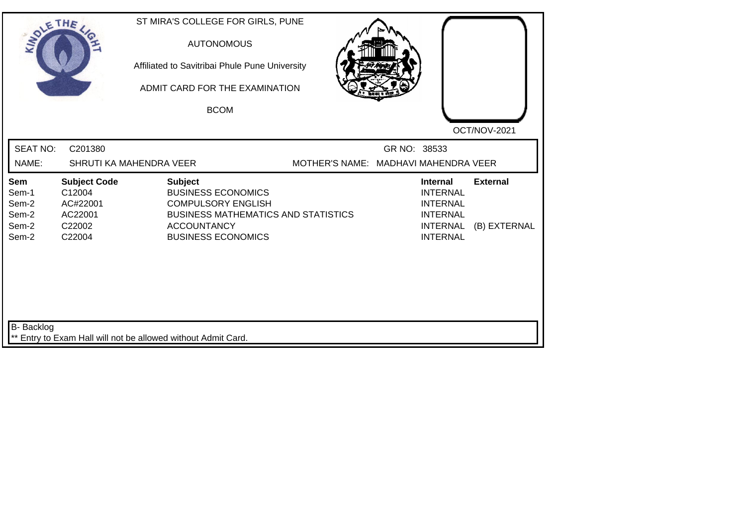| SOLETHE .                                        |                                                                          | ST MIRA'S COLLEGE FOR GIRLS, PUNE<br><b>AUTONOMOUS</b><br>Affiliated to Savitribai Phule Pune University<br>ADMIT CARD FOR THE EXAMINATION<br><b>BCOM</b>                 |                                      |              |                                                                                                                | OCT/NOV-2021                    |
|--------------------------------------------------|--------------------------------------------------------------------------|---------------------------------------------------------------------------------------------------------------------------------------------------------------------------|--------------------------------------|--------------|----------------------------------------------------------------------------------------------------------------|---------------------------------|
| <b>SEAT NO:</b><br>NAME:                         | C201380                                                                  | SHRUTI KA MAHENDRA VEER                                                                                                                                                   | MOTHER'S NAME: MADHAVI MAHENDRA VEER | GR NO: 38533 |                                                                                                                |                                 |
| Sem<br>Sem-1<br>Sem-2<br>Sem-2<br>Sem-2<br>Sem-2 | <b>Subject Code</b><br>C12004<br>AC#22001<br>AC22001<br>C22002<br>C22004 | <b>Subject</b><br><b>BUSINESS ECONOMICS</b><br><b>COMPULSORY ENGLISH</b><br><b>BUSINESS MATHEMATICS AND STATISTICS</b><br><b>ACCOUNTANCY</b><br><b>BUSINESS ECONOMICS</b> |                                      |              | <b>Internal</b><br><b>INTERNAL</b><br><b>INTERNAL</b><br><b>INTERNAL</b><br><b>INTERNAL</b><br><b>INTERNAL</b> | <b>External</b><br>(B) EXTERNAL |
| B- Backlog                                       |                                                                          | ** Entry to Exam Hall will not be allowed without Admit Card.                                                                                                             |                                      |              |                                                                                                                |                                 |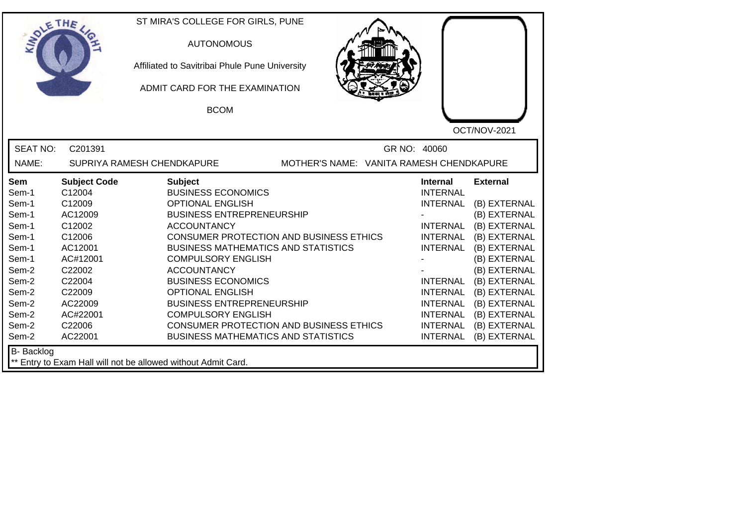| <b>SOLETHE</b>    |                     | ST MIRA'S COLLEGE FOR GIRLS, PUNE<br><b>AUTONOMOUS</b>                 |              |                 |                 |
|-------------------|---------------------|------------------------------------------------------------------------|--------------|-----------------|-----------------|
|                   |                     | Affiliated to Savitribai Phule Pune University                         |              |                 |                 |
|                   |                     | ADMIT CARD FOR THE EXAMINATION                                         |              |                 |                 |
|                   |                     | <b>BCOM</b>                                                            |              |                 |                 |
|                   |                     |                                                                        |              |                 | OCT/NOV-2021    |
| <b>SEAT NO:</b>   | C201391             |                                                                        | GR NO: 40060 |                 |                 |
| NAME:             |                     | MOTHER'S NAME: VANITA RAMESH CHENDKAPURE<br>SUPRIYA RAMESH CHENDKAPURE |              |                 |                 |
| <b>Sem</b>        | <b>Subject Code</b> | <b>Subject</b>                                                         |              | Internal        | <b>External</b> |
| Sem-1             | C12004              | <b>BUSINESS ECONOMICS</b>                                              |              | <b>INTERNAL</b> |                 |
| Sem-1             | C12009              | <b>OPTIONAL ENGLISH</b>                                                |              | <b>INTERNAL</b> | (B) EXTERNAL    |
| Sem-1             | AC12009             | <b>BUSINESS ENTREPRENEURSHIP</b>                                       |              |                 | (B) EXTERNAL    |
| Sem-1             | C12002              | <b>ACCOUNTANCY</b>                                                     |              | <b>INTERNAL</b> | (B) EXTERNAL    |
| Sem-1             | C12006              | <b>CONSUMER PROTECTION AND BUSINESS ETHICS</b>                         |              | <b>INTERNAL</b> | (B) EXTERNAL    |
| Sem-1             | AC12001             | <b>BUSINESS MATHEMATICS AND STATISTICS</b>                             |              | <b>INTERNAL</b> | (B) EXTERNAL    |
| Sem-1             | AC#12001            | <b>COMPULSORY ENGLISH</b>                                              |              |                 | (B) EXTERNAL    |
| Sem-2             | C22002              | <b>ACCOUNTANCY</b>                                                     |              |                 | (B) EXTERNAL    |
| Sem-2             | C22004              | <b>BUSINESS ECONOMICS</b>                                              |              | <b>INTERNAL</b> | (B) EXTERNAL    |
| Sem-2             | C22009              | <b>OPTIONAL ENGLISH</b>                                                |              | <b>INTERNAL</b> | (B) EXTERNAL    |
| Sem-2             | AC22009             | <b>BUSINESS ENTREPRENEURSHIP</b>                                       |              | <b>INTERNAL</b> | (B) EXTERNAL    |
| Sem-2             | AC#22001            | <b>COMPULSORY ENGLISH</b>                                              |              | <b>INTERNAL</b> | (B) EXTERNAL    |
| Sem-2             | C22006              | <b>CONSUMER PROTECTION AND BUSINESS ETHICS</b>                         |              | INTERNAL        | (B) EXTERNAL    |
| Sem-2             | AC22001             | <b>BUSINESS MATHEMATICS AND STATISTICS</b>                             |              | <b>INTERNAL</b> | (B) EXTERNAL    |
| <b>B-</b> Backlog |                     |                                                                        |              |                 |                 |
|                   |                     | ** Entry to Exam Hall will not be allowed without Admit Card.          |              |                 |                 |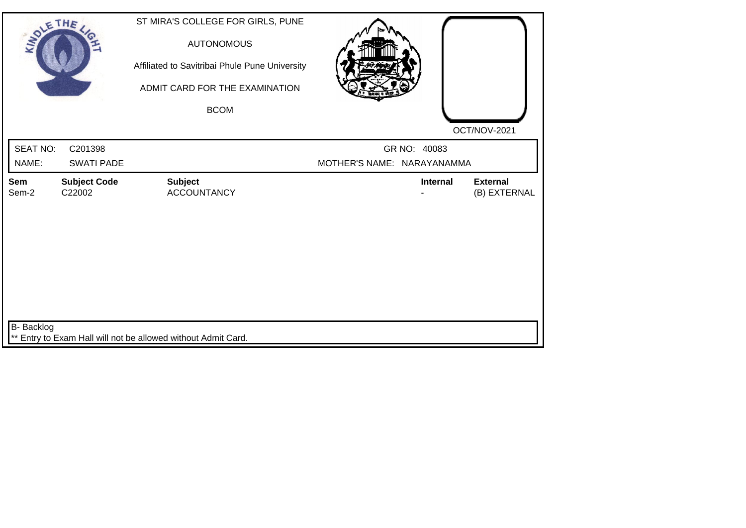| SOLE THE          |                               | ST MIRA'S COLLEGE FOR GIRLS, PUNE<br><b>AUTONOMOUS</b><br>Affiliated to Savitribai Phule Pune University<br>ADMIT CARD FOR THE EXAMINATION<br><b>BCOM</b> |                            |              | OCT/NOV-2021                    |
|-------------------|-------------------------------|-----------------------------------------------------------------------------------------------------------------------------------------------------------|----------------------------|--------------|---------------------------------|
| <b>SEAT NO:</b>   | C201398                       |                                                                                                                                                           |                            | GR NO: 40083 |                                 |
| NAME:             | <b>SWATI PADE</b>             |                                                                                                                                                           | MOTHER'S NAME: NARAYANAMMA |              |                                 |
| Sem<br>Sem-2      | <b>Subject Code</b><br>C22002 | <b>Subject</b><br><b>ACCOUNTANCY</b>                                                                                                                      |                            | Internal     | <b>External</b><br>(B) EXTERNAL |
| <b>B-</b> Backlog |                               | ** Entry to Exam Hall will not be allowed without Admit Card.                                                                                             |                            |              |                                 |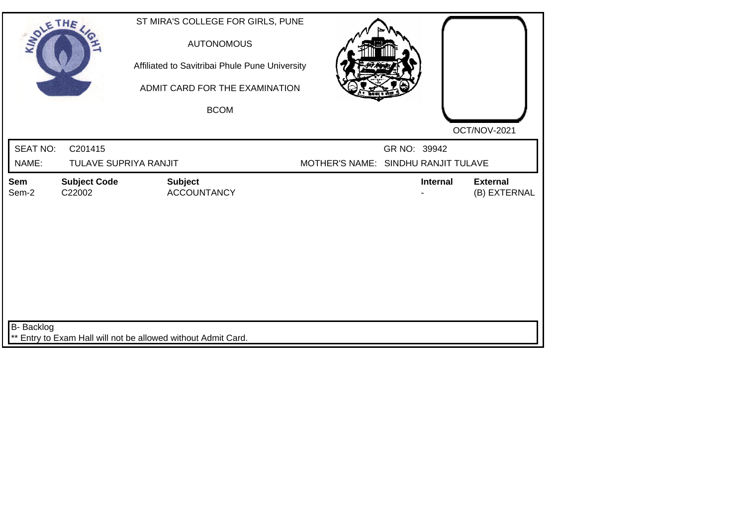| SOLETHE,                 |                                  | ST MIRA'S COLLEGE FOR GIRLS, PUNE<br><b>AUTONOMOUS</b><br>Affiliated to Savitribai Phule Pune University<br>ADMIT CARD FOR THE EXAMINATION<br><b>BCOM</b> |                                     |              |                 |                                 |
|--------------------------|----------------------------------|-----------------------------------------------------------------------------------------------------------------------------------------------------------|-------------------------------------|--------------|-----------------|---------------------------------|
|                          |                                  |                                                                                                                                                           |                                     |              |                 | OCT/NOV-2021                    |
| <b>SEAT NO:</b><br>NAME: | C201415<br>TULAVE SUPRIYA RANJIT |                                                                                                                                                           | MOTHER'S NAME: SINDHU RANJIT TULAVE | GR NO: 39942 |                 |                                 |
| Sem<br>Sem-2             | <b>Subject Code</b><br>C22002    | <b>Subject</b><br><b>ACCOUNTANCY</b>                                                                                                                      |                                     |              | <b>Internal</b> | <b>External</b><br>(B) EXTERNAL |
| <b>B-</b> Backlog        |                                  | ** Entry to Exam Hall will not be allowed without Admit Card.                                                                                             |                                     |              |                 |                                 |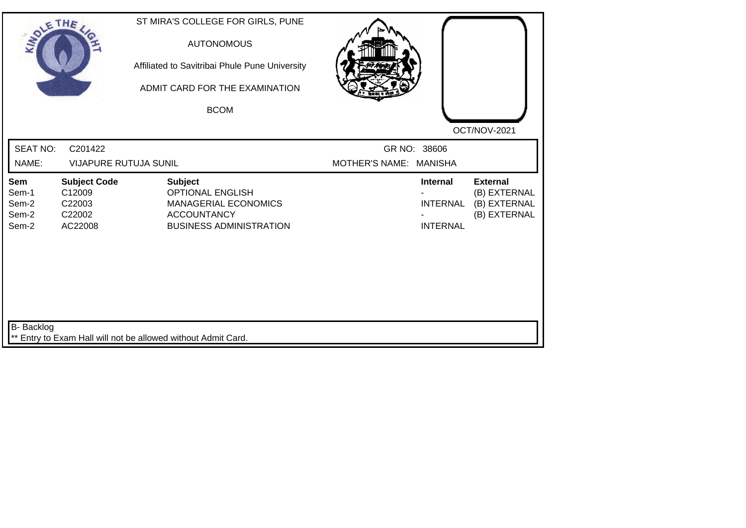| SOLETHE,                                |                                                              | ST MIRA'S COLLEGE FOR GIRLS, PUNE<br><b>AUTONOMOUS</b><br>Affiliated to Savitribai Phule Pune University<br>ADMIT CARD FOR THE EXAMINATION<br><b>BCOM</b> |                                       |                                                       |                                                                 |
|-----------------------------------------|--------------------------------------------------------------|-----------------------------------------------------------------------------------------------------------------------------------------------------------|---------------------------------------|-------------------------------------------------------|-----------------------------------------------------------------|
| <b>SEAT NO:</b><br>NAME:                | C201422<br><b>VIJAPURE RUTUJA SUNIL</b>                      |                                                                                                                                                           | GR NO: 38606<br><b>MOTHER'S NAME:</b> | <b>MANISHA</b>                                        | OCT/NOV-2021                                                    |
| Sem<br>Sem-1<br>Sem-2<br>Sem-2<br>Sem-2 | <b>Subject Code</b><br>C12009<br>C22003<br>C22002<br>AC22008 | <b>Subject</b><br><b>OPTIONAL ENGLISH</b><br><b>MANAGERIAL ECONOMICS</b><br><b>ACCOUNTANCY</b><br><b>BUSINESS ADMINISTRATION</b>                          |                                       | <b>Internal</b><br><b>INTERNAL</b><br><b>INTERNAL</b> | <b>External</b><br>(B) EXTERNAL<br>(B) EXTERNAL<br>(B) EXTERNAL |
| B- Backlog                              |                                                              | ** Entry to Exam Hall will not be allowed without Admit Card.                                                                                             |                                       |                                                       |                                                                 |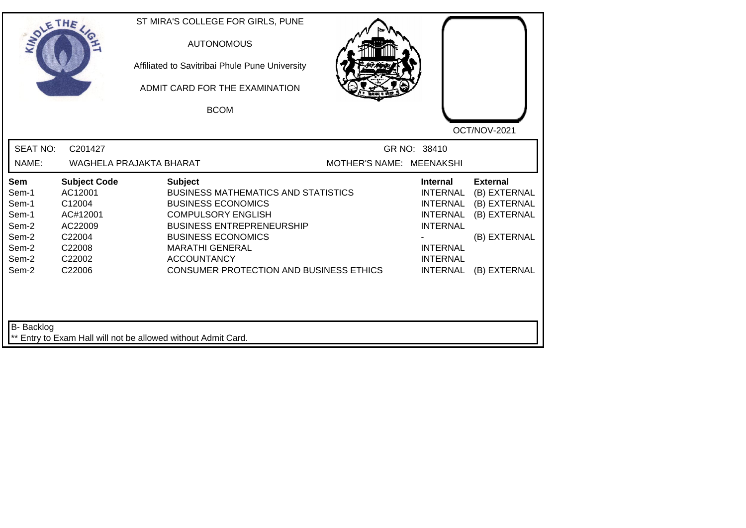| <b>SEAT NO:</b><br>GR NO: 38410<br>C201427<br>NAME:<br>WAGHELA PRAJAKTA BHARAT<br>MOTHER'S NAME: MEENAKSHI<br><b>Subject Code</b><br><b>Subject</b><br><b>Internal</b><br><b>External</b><br>Sem<br>AC12001<br>Sem-1<br><b>BUSINESS MATHEMATICS AND STATISTICS</b><br><b>INTERNAL</b><br>(B) EXTERNAL<br>Sem-1<br>C12004<br><b>BUSINESS ECONOMICS</b><br><b>INTERNAL</b><br>(B) EXTERNAL<br>Sem-1<br>AC#12001<br><b>COMPULSORY ENGLISH</b><br>(B) EXTERNAL<br><b>INTERNAL</b><br>Sem-2<br><b>BUSINESS ENTREPRENEURSHIP</b><br>AC22009<br><b>INTERNAL</b><br><b>BUSINESS ECONOMICS</b><br>(B) EXTERNAL<br>Sem-2<br>C22004<br>Sem-2<br>C22008<br><b>MARATHI GENERAL</b><br><b>INTERNAL</b><br>Sem-2<br><b>ACCOUNTANCY</b><br>C22002<br><b>INTERNAL</b><br><b>CONSUMER PROTECTION AND BUSINESS ETHICS</b><br>Sem-2<br>C22006<br><b>INTERNAL</b><br>(B) EXTERNAL | SOLETHE . | ST MIRA'S COLLEGE FOR GIRLS, PUNE<br><b>AUTONOMOUS</b><br>Affiliated to Savitribai Phule Pune University<br>ADMIT CARD FOR THE EXAMINATION<br><b>BCOM</b> |  | OCT/NOV-2021 |
|--------------------------------------------------------------------------------------------------------------------------------------------------------------------------------------------------------------------------------------------------------------------------------------------------------------------------------------------------------------------------------------------------------------------------------------------------------------------------------------------------------------------------------------------------------------------------------------------------------------------------------------------------------------------------------------------------------------------------------------------------------------------------------------------------------------------------------------------------------------|-----------|-----------------------------------------------------------------------------------------------------------------------------------------------------------|--|--------------|
|                                                                                                                                                                                                                                                                                                                                                                                                                                                                                                                                                                                                                                                                                                                                                                                                                                                              |           |                                                                                                                                                           |  |              |
|                                                                                                                                                                                                                                                                                                                                                                                                                                                                                                                                                                                                                                                                                                                                                                                                                                                              |           |                                                                                                                                                           |  |              |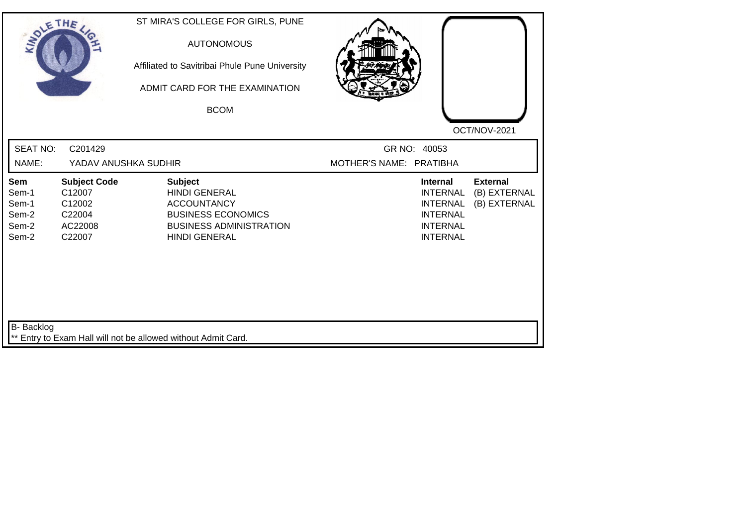| SOLETHE,                                         |                                                                        | ST MIRA'S COLLEGE FOR GIRLS, PUNE<br><b>AUTONOMOUS</b><br>Affiliated to Savitribai Phule Pune University<br>ADMIT CARD FOR THE EXAMINATION<br><b>BCOM</b> | OCT/NOV-2021                                                                                                                                      |              |
|--------------------------------------------------|------------------------------------------------------------------------|-----------------------------------------------------------------------------------------------------------------------------------------------------------|---------------------------------------------------------------------------------------------------------------------------------------------------|--------------|
| <b>SEAT NO:</b><br>NAME:                         | C201429<br>YADAV ANUSHKA SUDHIR                                        |                                                                                                                                                           | GR NO: 40053<br>MOTHER'S NAME: PRATIBHA                                                                                                           |              |
| Sem<br>Sem-1<br>Sem-1<br>Sem-2<br>Sem-2<br>Sem-2 | <b>Subject Code</b><br>C12007<br>C12002<br>C22004<br>AC22008<br>C22007 | <b>Subject</b><br><b>HINDI GENERAL</b><br><b>ACCOUNTANCY</b><br><b>BUSINESS ECONOMICS</b><br><b>BUSINESS ADMINISTRATION</b><br><b>HINDI GENERAL</b>       | <b>External</b><br><b>Internal</b><br><b>INTERNAL</b><br>(B) EXTERNAL<br><b>INTERNAL</b><br><b>INTERNAL</b><br><b>INTERNAL</b><br><b>INTERNAL</b> | (B) EXTERNAL |
| B- Backlog                                       |                                                                        | ** Entry to Exam Hall will not be allowed without Admit Card.                                                                                             |                                                                                                                                                   |              |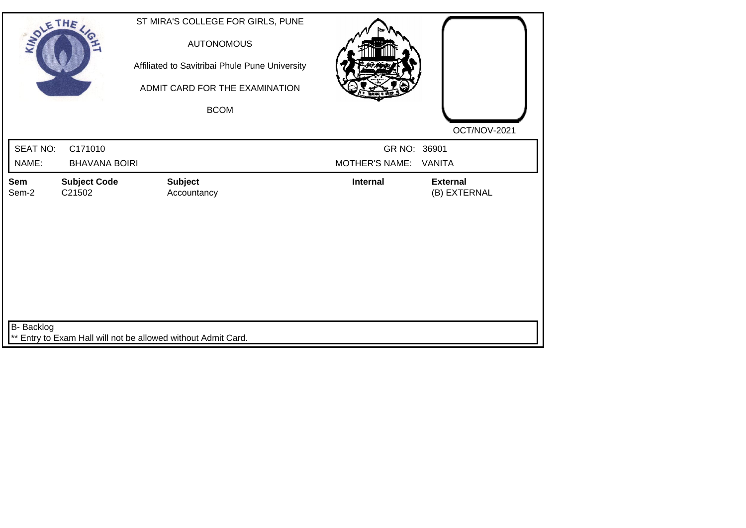| SOLETHE,        |                               | ST MIRA'S COLLEGE FOR GIRLS, PUNE<br><b>AUTONOMOUS</b><br>Affiliated to Savitribai Phule Pune University<br>ADMIT CARD FOR THE EXAMINATION<br><b>BCOM</b> |                       | OCT/NOV-2021                    |
|-----------------|-------------------------------|-----------------------------------------------------------------------------------------------------------------------------------------------------------|-----------------------|---------------------------------|
| <b>SEAT NO:</b> | C171010                       |                                                                                                                                                           | GR NO: 36901          |                                 |
| NAME:           | <b>BHAVANA BOIRI</b>          |                                                                                                                                                           | <b>MOTHER'S NAME:</b> | VANITA                          |
| Sem<br>Sem-2    | <b>Subject Code</b><br>C21502 | <b>Subject</b><br>Accountancy                                                                                                                             | <b>Internal</b>       | <b>External</b><br>(B) EXTERNAL |
| B- Backlog      |                               | ** Entry to Exam Hall will not be allowed without Admit Card.                                                                                             |                       |                                 |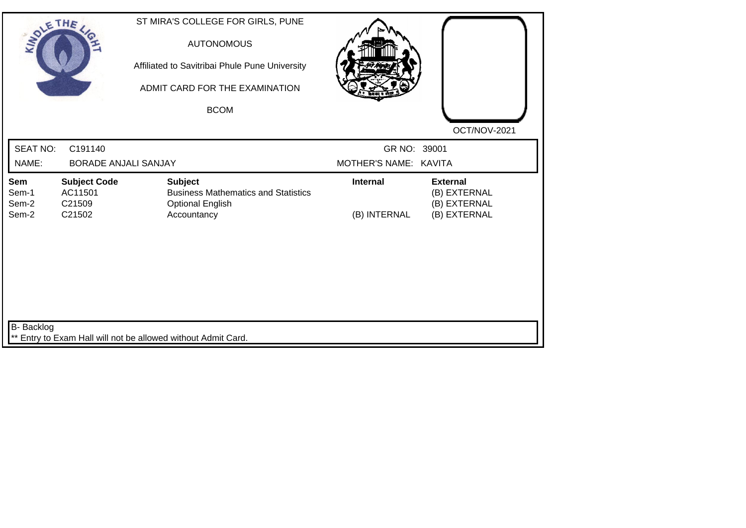| SOLE THE                       |                                                    | ST MIRA'S COLLEGE FOR GIRLS, PUNE<br><b>AUTONOMOUS</b><br>Affiliated to Savitribai Phule Pune University<br>ADMIT CARD FOR THE EXAMINATION<br><b>BCOM</b> |                                       | OCT/NOV-2021                                                    |
|--------------------------------|----------------------------------------------------|-----------------------------------------------------------------------------------------------------------------------------------------------------------|---------------------------------------|-----------------------------------------------------------------|
| <b>SEAT NO:</b><br>NAME:       | C191140<br><b>BORADE ANJALI SANJAY</b>             |                                                                                                                                                           | GR NO: 39001<br>MOTHER'S NAME: KAVITA |                                                                 |
| Sem<br>Sem-1<br>Sem-2<br>Sem-2 | <b>Subject Code</b><br>AC11501<br>C21509<br>C21502 | <b>Subject</b><br><b>Business Mathematics and Statistics</b><br><b>Optional English</b><br>Accountancy                                                    | <b>Internal</b><br>(B) INTERNAL       | <b>External</b><br>(B) EXTERNAL<br>(B) EXTERNAL<br>(B) EXTERNAL |
| B- Backlog                     |                                                    | ** Entry to Exam Hall will not be allowed without Admit Card.                                                                                             |                                       |                                                                 |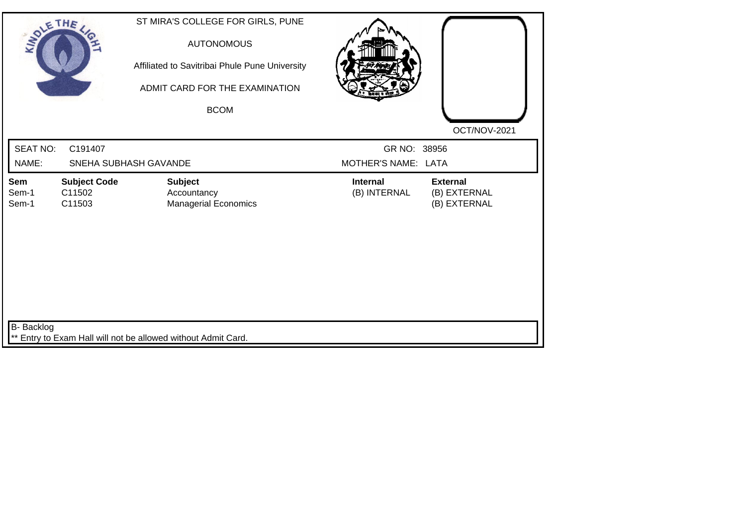| SOLETHE .                |                                         | ST MIRA'S COLLEGE FOR GIRLS, PUNE<br><b>AUTONOMOUS</b><br>Affiliated to Savitribai Phule Pune University |                                     |                                                 |
|--------------------------|-----------------------------------------|----------------------------------------------------------------------------------------------------------|-------------------------------------|-------------------------------------------------|
|                          |                                         | ADMIT CARD FOR THE EXAMINATION<br><b>BCOM</b>                                                            |                                     | OCT/NOV-2021                                    |
| <b>SEAT NO:</b><br>NAME: | C191407<br>SNEHA SUBHASH GAVANDE        |                                                                                                          | GR NO: 38956<br>MOTHER'S NAME: LATA |                                                 |
| Sem<br>Sem-1<br>Sem-1    | <b>Subject Code</b><br>C11502<br>C11503 | <b>Subject</b><br>Accountancy<br><b>Managerial Economics</b>                                             | <b>Internal</b><br>(B) INTERNAL     | <b>External</b><br>(B) EXTERNAL<br>(B) EXTERNAL |
| B- Backlog               |                                         | ** Entry to Exam Hall will not be allowed without Admit Card.                                            |                                     |                                                 |